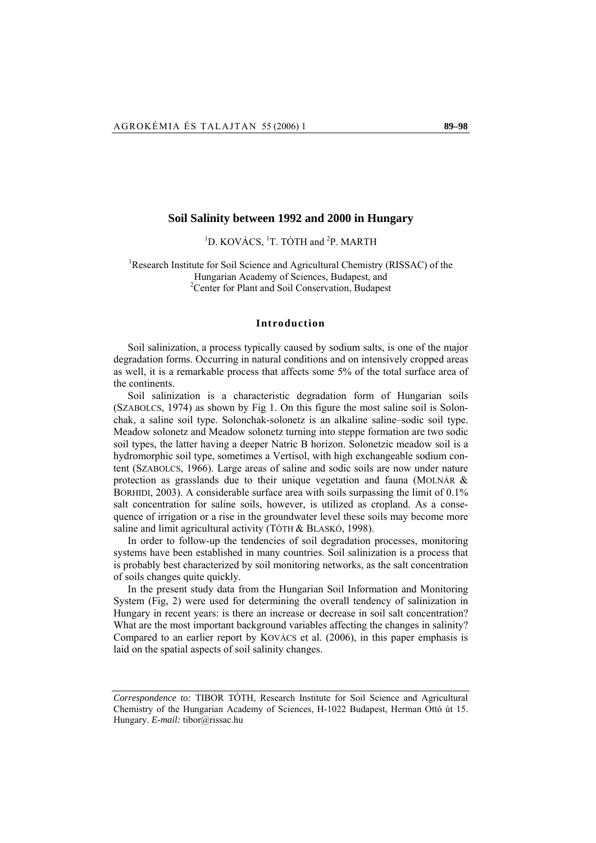# **Soil Salinity between 1992 and 2000 in Hungary**

<sup>1</sup>D. KOVÁCS, <sup>1</sup>T. TÓTH and <sup>2</sup>P. MARTH

<sup>1</sup>Research Institute for Soil Science and Agricultural Chemistry (RISSAC) of the Hungarian Academy of Sciences, Budapest, and 2 Center for Plant and Soil Conservation, Budapest

# **Introduction**

Soil salinization, a process typically caused by sodium salts, is one of the major degradation forms. Occurring in natural conditions and on intensively cropped areas as well, it is a remarkable process that affects some 5% of the total surface area of the continents.

Soil salinization is a characteristic degradation form of Hungarian soils (SZABOLCS, 1974) as shown by Fig 1. On this figure the most saline soil is Solonchak, a saline soil type. Solonchak-solonetz is an alkaline saline–sodic soil type. Meadow solonetz and Meadow solonetz turning into steppe formation are two sodic soil types, the latter having a deeper Natric B horizon. Solonetzic meadow soil is a hydromorphic soil type, sometimes a Vertisol, with high exchangeable sodium content (SZABOLCS, 1966). Large areas of saline and sodic soils are now under nature protection as grasslands due to their unique vegetation and fauna (MOLNÁR & BORHIDI, 2003). A considerable surface area with soils surpassing the limit of 0.1% salt concentration for saline soils, however, is utilized as cropland. As a consequence of irrigation or a rise in the groundwater level these soils may become more saline and limit agricultural activity (TÓTH & BLASKÓ, 1998).

In order to follow-up the tendencies of soil degradation processes, monitoring systems have been established in many countries. Soil salinization is a process that is probably best characterized by soil monitoring networks, as the salt concentration of soils changes quite quickly.

In the present study data from the Hungarian Soil Information and Monitoring System (Fig, 2) were used for determining the overall tendency of salinization in Hungary in recent years: is there an increase or decrease in soil salt concentration? What are the most important background variables affecting the changes in salinity? Compared to an earlier report by KOVÁCS et al. (2006), in this paper emphasis is laid on the spatial aspects of soil salinity changes.

*Correspondence to:* TIBOR TÓTH, Research Institute for Soil Science and Agricultural Chemistry of the Hungarian Academy of Sciences, H-1022 Budapest, Herman Ottó út 15. Hungary. *E-mail:* tibor@rissac.hu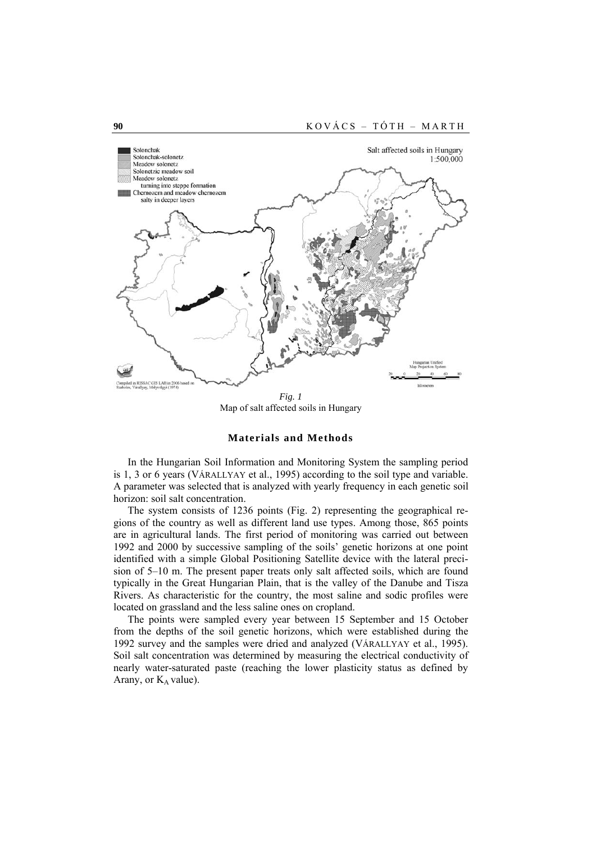

*Fig. 1*  Map of salt affected soils in Hungary

#### **Materials and Methods**

In the Hungarian Soil Information and Monitoring System the sampling period is 1, 3 or 6 years (VÁRALLYAY et al., 1995) according to the soil type and variable. A parameter was selected that is analyzed with yearly frequency in each genetic soil horizon: soil salt concentration.

The system consists of 1236 points (Fig. 2) representing the geographical regions of the country as well as different land use types. Among those, 865 points are in agricultural lands. The first period of monitoring was carried out between 1992 and 2000 by successive sampling of the soils' genetic horizons at one point identified with a simple Global Positioning Satellite device with the lateral precision of 5–10 m. The present paper treats only salt affected soils, which are found typically in the Great Hungarian Plain, that is the valley of the Danube and Tisza Rivers. As characteristic for the country, the most saline and sodic profiles were located on grassland and the less saline ones on cropland.

The points were sampled every year between 15 September and 15 October from the depths of the soil genetic horizons, which were established during the 1992 survey and the samples were dried and analyzed (VÁRALLYAY et al., 1995). Soil salt concentration was determined by measuring the electrical conductivity of nearly water-saturated paste (reaching the lower plasticity status as defined by Arany, or  $K_A$  value).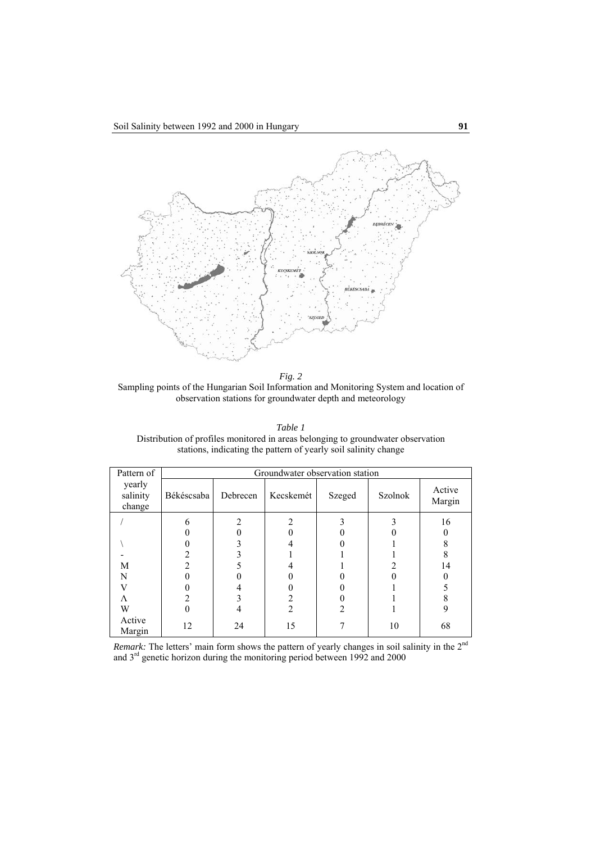

*Fig. 2*  Sampling points of the Hungarian Soil Information and Monitoring System and location of observation stations for groundwater depth and meteorology

| Table 1                                                                          |
|----------------------------------------------------------------------------------|
| Distribution of profiles monitored in areas belonging to groundwater observation |
| stations, indicating the pattern of yearly soil salinity change                  |

| Pattern of                   | Groundwater observation station |          |                |        |                |                  |  |  |  |  |
|------------------------------|---------------------------------|----------|----------------|--------|----------------|------------------|--|--|--|--|
| yearly<br>salinity<br>change | Békéscsaba                      | Debrecen | Kecskemét      | Szeged | <b>Szolnok</b> | Active<br>Margin |  |  |  |  |
|                              |                                 |          |                |        |                | 16               |  |  |  |  |
|                              |                                 |          |                |        |                |                  |  |  |  |  |
|                              |                                 |          |                |        |                |                  |  |  |  |  |
|                              |                                 |          |                |        |                |                  |  |  |  |  |
| М                            |                                 |          |                |        |                | 14               |  |  |  |  |
| N                            |                                 |          |                |        |                |                  |  |  |  |  |
|                              |                                 |          |                |        |                |                  |  |  |  |  |
| Λ                            |                                 |          |                |        |                |                  |  |  |  |  |
| W                            |                                 |          | $\mathfrak{D}$ |        |                | 9                |  |  |  |  |
| Active<br>Margin             | 12                              | 24       | 15             |        | 10             | 68               |  |  |  |  |

*Remark:* The letters' main form shows the pattern of yearly changes in soil salinity in the  $2<sup>nd</sup>$ and 3<sup>rd</sup> genetic horizon during the monitoring period between 1992 and 2000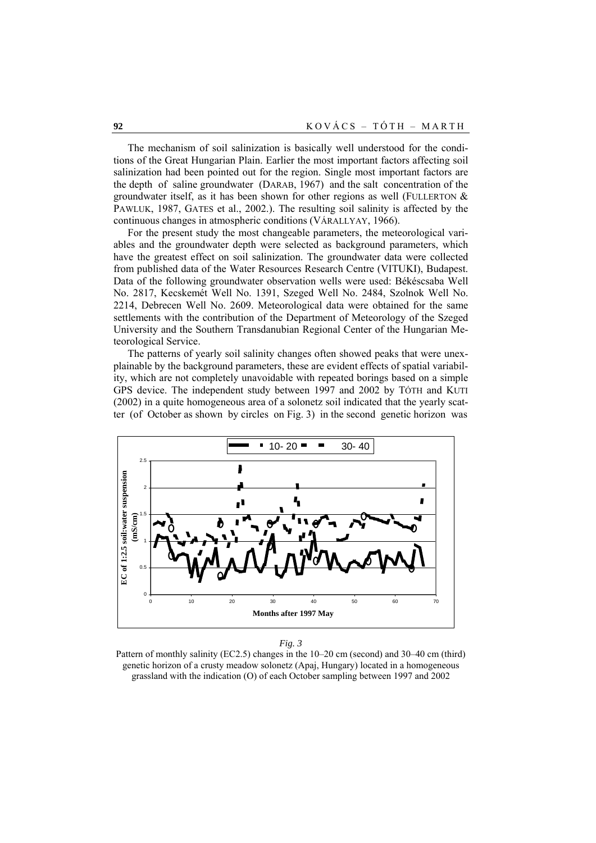The mechanism of soil salinization is basically well understood for the conditions of the Great Hungarian Plain. Earlier the most important factors affecting soil salinization had been pointed out for the region. Single most important factors are the depth of saline groundwater (DARAB, 1967) and the salt concentration of the groundwater itself, as it has been shown for other regions as well (FULLERTON  $\&$ PAWLUK, 1987, GATES et al., 2002.). The resulting soil salinity is affected by the continuous changes in atmospheric conditions (VÁRALLYAY, 1966).

For the present study the most changeable parameters, the meteorological variables and the groundwater depth were selected as background parameters, which have the greatest effect on soil salinization. The groundwater data were collected from published data of the Water Resources Research Centre (VITUKI), Budapest. Data of the following groundwater observation wells were used: Békéscsaba Well No. 2817, Kecskemét Well No. 1391, Szeged Well No. 2484, Szolnok Well No. 2214, Debrecen Well No. 2609. Meteorological data were obtained for the same settlements with the contribution of the Department of Meteorology of the Szeged University and the Southern Transdanubian Regional Center of the Hungarian Meteorological Service.

The patterns of yearly soil salinity changes often showed peaks that were unexplainable by the background parameters, these are evident effects of spatial variability, which are not completely unavoidable with repeated borings based on a simple GPS device. The independent study between 1997 and 2002 by TÓTH and KUTI (2002) in a quite homogeneous area of a solonetz soil indicated that the yearly scatter (of October as shown by circles on Fig. 3) in the second genetic horizon was



*Fig. 3* 

Pattern of monthly salinity (EC2.5) changes in the 10–20 cm (second) and 30–40 cm (third) genetic horizon of a crusty meadow solonetz (Apaj, Hungary) located in a homogeneous grassland with the indication (O) of each October sampling between 1997 and 2002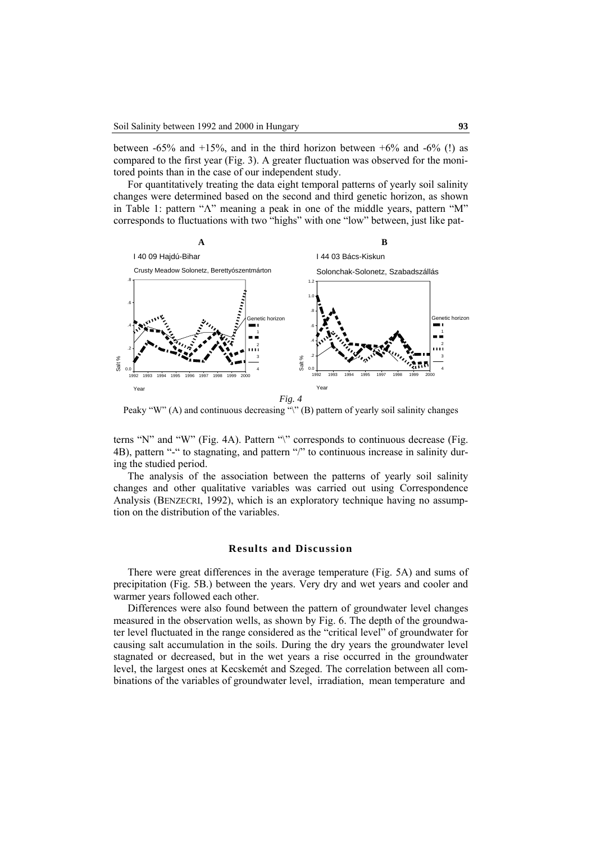between  $-65\%$  and  $+15\%$ , and in the third horizon between  $+6\%$  and  $-6\%$  (!) as compared to the first year (Fig. 3). A greater fluctuation was observed for the monitored points than in the case of our independent study.

For quantitatively treating the data eight temporal patterns of yearly soil salinity changes were determined based on the second and third genetic horizon, as shown in Table 1: pattern "Λ" meaning a peak in one of the middle years, pattern "M" corresponds to fluctuations with two "highs" with one "low" between, just like pat-



Peaky "W" (A) and continuous decreasing " $\mathcal{P}$ " (B) pattern of yearly soil salinity changes

terns "N" and "W" (Fig. 4A). Pattern "\" corresponds to continuous decrease (Fig. 4B), pattern "-" to stagnating, and pattern "/" to continuous increase in salinity during the studied period.

The analysis of the association between the patterns of yearly soil salinity changes and other qualitative variables was carried out using Correspondence Analysis (BENZECRI, 1992), which is an exploratory technique having no assumption on the distribution of the variables.

# **Results and Discussion**

There were great differences in the average temperature (Fig. 5A) and sums of precipitation (Fig. 5B.) between the years. Very dry and wet years and cooler and warmer years followed each other.

Differences were also found between the pattern of groundwater level changes measured in the observation wells, as shown by Fig. 6. The depth of the groundwater level fluctuated in the range considered as the "critical level" of groundwater for causing salt accumulation in the soils. During the dry years the groundwater level stagnated or decreased, but in the wet years a rise occurred in the groundwater level, the largest ones at Kecskemét and Szeged. The correlation between all combinations of the variables of groundwater level, irradiation, mean temperature and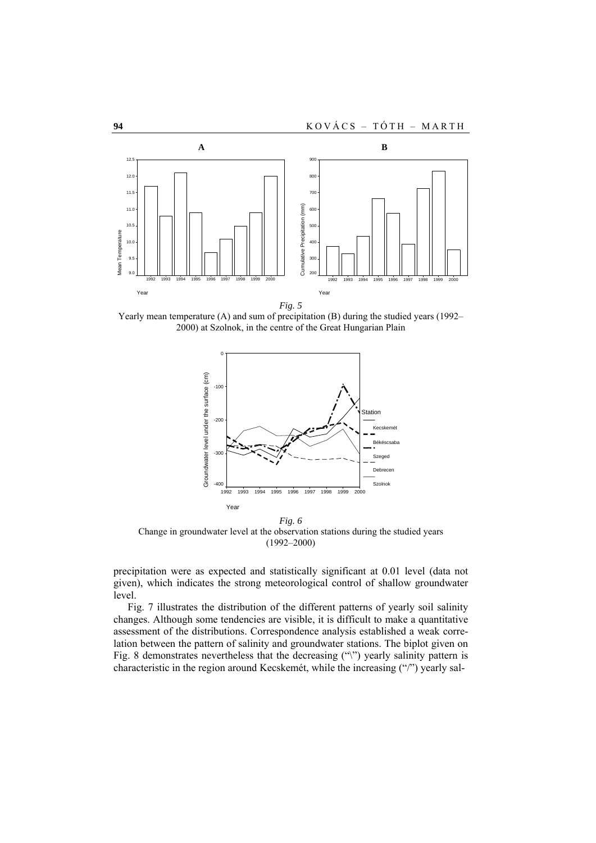

*Fig. 5* 

Yearly mean temperature (A) and sum of precipitation (B) during the studied years (1992– 2000) at Szolnok, in the centre of the Great Hungarian Plain



*Fig. 6*  Change in groundwater level at the observation stations during the studied years (1992–2000)

precipitation were as expected and statistically significant at 0.01 level (data not given), which indicates the strong meteorological control of shallow groundwater level.

Fig. 7 illustrates the distribution of the different patterns of yearly soil salinity changes. Although some tendencies are visible, it is difficult to make a quantitative assessment of the distributions. Correspondence analysis established a weak correlation between the pattern of salinity and groundwater stations. The biplot given on Fig. 8 demonstrates nevertheless that the decreasing ("\") yearly salinity pattern is characteristic in the region around Kecskemét, while the increasing ("/") yearly sal-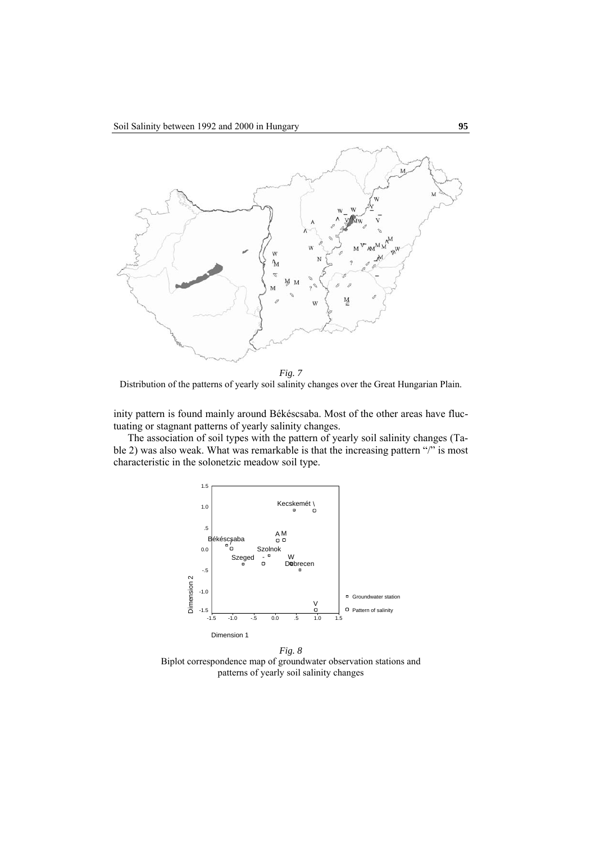

*Fig. 7*  Distribution of the patterns of yearly soil salinity changes over the Great Hungarian Plain.

inity pattern is found mainly around Békéscsaba. Most of the other areas have fluctuating or stagnant patterns of yearly salinity changes.

The association of soil types with the pattern of yearly soil salinity changes (Table 2) was also weak. What was remarkable is that the increasing pattern "/" is most characteristic in the solonetzic meadow soil type.



*Fig. 8*  Biplot correspondence map of groundwater observation stations and patterns of yearly soil salinity changes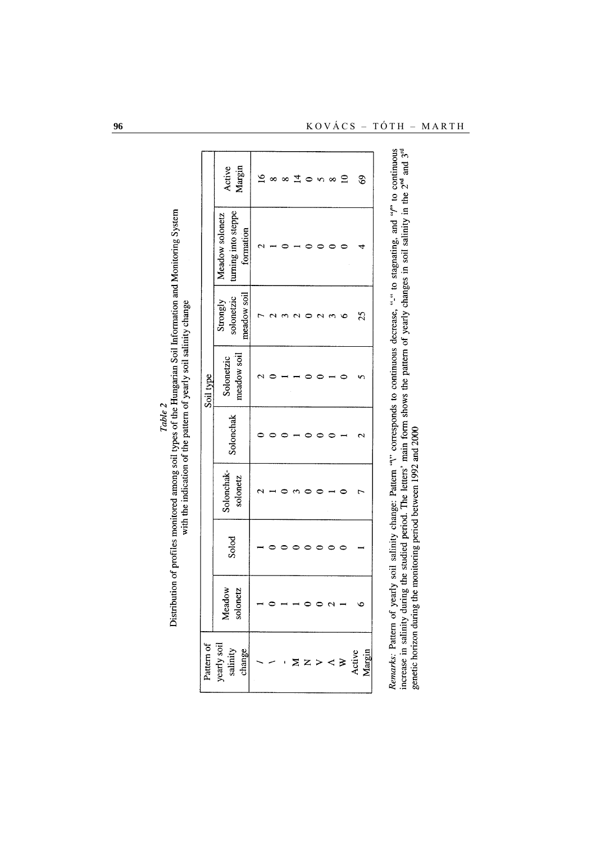|            | Margin<br>Active                                    | $\overline{a}$ | ∞ | 8 | $\overline{1}$ | v<br>٦ | ∞                | $\overline{a}$ | $\mathcal{S}$    |
|------------|-----------------------------------------------------|----------------|---|---|----------------|--------|------------------|----------------|------------------|
|            | turning into steppe<br>Meadow solonetz<br>formation |                |   |   |                |        |                  |                |                  |
|            | meadow soil<br>solonetzic<br>Strongly               |                |   |   |                | 2      | 3                | $\circ$        | 25               |
| Soil type  | meadow soil<br>Solonetzic                           |                |   |   |                |        |                  |                |                  |
|            | Solonchak                                           |                |   |   |                |        |                  |                | $\mathrel{\sim}$ |
|            | Solonchak-<br>solonetz                              |                |   |   |                |        |                  |                | t                |
|            | Solod                                               |                |   |   |                |        |                  |                |                  |
|            | Meadow<br>solonetz                                  |                |   |   |                |        | $\mathrel{\sim}$ |                | ७                |
| Pattern of | yearly soil<br>salinity<br>change                   |                |   |   |                |        | $\prec$          | $\geq$         | Margin<br>Active |

| ٦<br>i<br>E | てんきょう こうじょう<br>$\frac{1}{2}$<br>The Charles Care Care is<br>Į<br>i<br>i<br>֦֦֪֦֪֦֪֦֚֚֚֝֝֬֝֬֝֝֬֝֝֬֝֝֬֝֓֝֬֝֓֝֬֝<br>i<br>$\frac{1}{2}$<br>،<br>ا<br>i<br>i<br>$\frac{1}{2}$ | cccc<br>í<br>$\frac{1}{2}$<br>י<br>יוימודי<br>・くり<br>.<br>ک<br>::: |
|-------------|--------------------------------------------------------------------------------------------------------------------------------------------------------------------------|--------------------------------------------------------------------|
|-------------|--------------------------------------------------------------------------------------------------------------------------------------------------------------------------|--------------------------------------------------------------------|

*Kemarks*: Pattern of yearly soil salinity change: Pattern "V" corresponds to continuous decrease, "-" to stagnating, and "/" to continuous<br>increase in salinity during the studied period. The letters' main form shows the p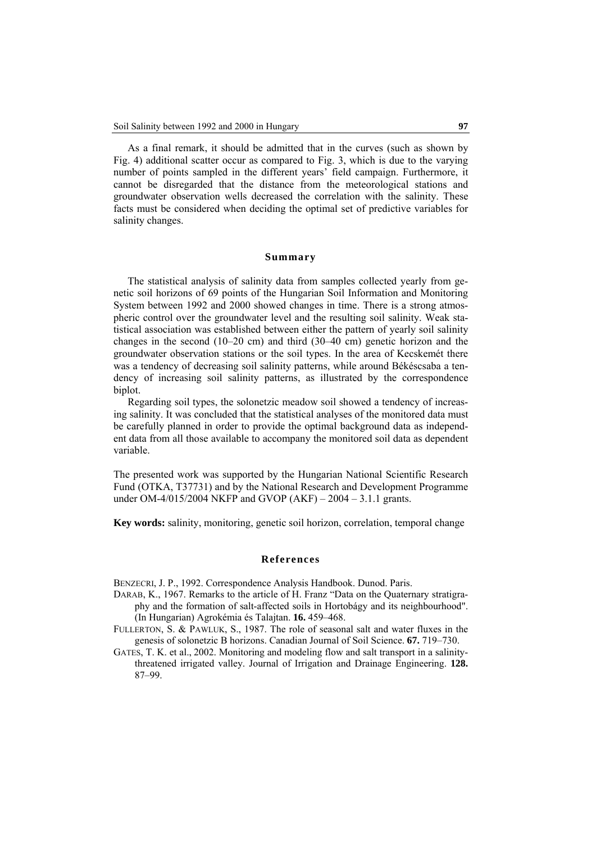As a final remark, it should be admitted that in the curves (such as shown by Fig. 4) additional scatter occur as compared to Fig. 3, which is due to the varying number of points sampled in the different years' field campaign. Furthermore, it cannot be disregarded that the distance from the meteorological stations and groundwater observation wells decreased the correlation with the salinity. These facts must be considered when deciding the optimal set of predictive variables for salinity changes.

### **Summary**

The statistical analysis of salinity data from samples collected yearly from genetic soil horizons of 69 points of the Hungarian Soil Information and Monitoring System between 1992 and 2000 showed changes in time. There is a strong atmospheric control over the groundwater level and the resulting soil salinity. Weak statistical association was established between either the pattern of yearly soil salinity changes in the second (10–20 cm) and third (30–40 cm) genetic horizon and the groundwater observation stations or the soil types. In the area of Kecskemét there was a tendency of decreasing soil salinity patterns, while around Békéscsaba a tendency of increasing soil salinity patterns, as illustrated by the correspondence biplot.

Regarding soil types, the solonetzic meadow soil showed a tendency of increasing salinity. It was concluded that the statistical analyses of the monitored data must be carefully planned in order to provide the optimal background data as independent data from all those available to accompany the monitored soil data as dependent variable.

The presented work was supported by the Hungarian National Scientific Research Fund (OTKA, T37731) and by the National Research and Development Programme under OM-4/015/2004 NKFP and GVOP (AKF) – 2004 – 3.1.1 grants.

**Key words:** salinity, monitoring, genetic soil horizon, correlation, temporal change

### **References**

BENZECRI, J. P., 1992. Correspondence Analysis Handbook. Dunod. Paris.

- DARAB, K., 1967. Remarks to the article of H. Franz "Data on the Quaternary stratigraphy and the formation of salt-affected soils in Hortobágy and its neighbourhood". (In Hungarian) Agrokémia és Talajtan. **16.** 459–468.
- FULLERTON, S. & PAWLUK, S., 1987. The role of seasonal salt and water fluxes in the genesis of solonetzic B horizons. Canadian Journal of Soil Science. **67.** 719–730.
- GATES, T. K. et al., 2002. Monitoring and modeling flow and salt transport in a salinitythreatened irrigated valley. Journal of Irrigation and Drainage Engineering. **128.** 87–99.